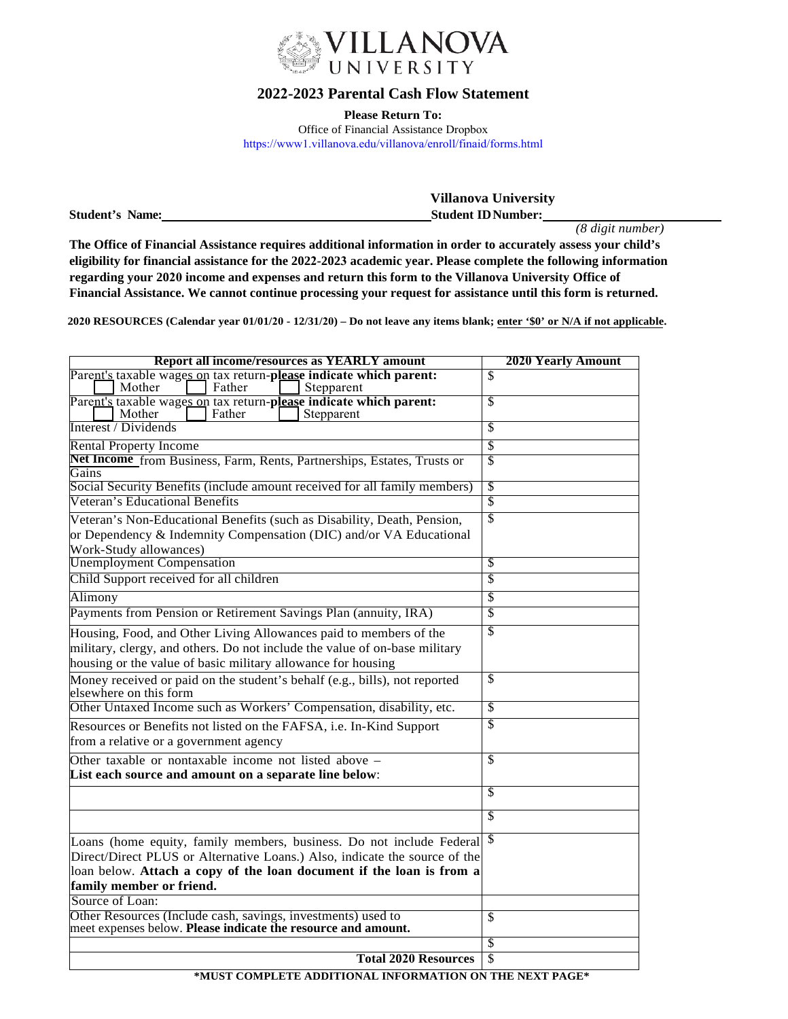

## **2022-2023 Parental Cash Flow Statement**

**Please Return To:**  Office of Financial Assistance Dropbox https://www1.villanova.edu/villanova/enroll/finaid/forms.html

|                        | <b>Villanova University</b> |  |
|------------------------|-----------------------------|--|
| <b>Student's Name:</b> | <b>Student ID Number:</b>   |  |

*(8 digit number)*

**The Office of Financial Assistance requires additional information in order to accurately assess your child's eligibility for financial assistance for the 2022-2023 academic year. Please complete the following information regarding your 2020 income and expenses and return this form to the Villanova University Office of Financial Assistance. We cannot continue processing your request for assistance until this form is returned.** 

**2020 RESOURCES (Calendar year 01/01/20 - 12/31/20) – Do not leave any items blank; enter '\$0' or N/A if not applicable.** 

| <b>Report all income/resources as YEARLY amount</b>                                                                           | <b>2020 Yearly Amount</b> |
|-------------------------------------------------------------------------------------------------------------------------------|---------------------------|
| Parent's taxable wages on tax return-please indicate which parent:                                                            | \$                        |
| Father<br>Mother<br>Stepparent<br>Parent's taxable wages on tax return-please indicate which parent:                          | \$                        |
| Father<br>Mother<br>Stepparent                                                                                                |                           |
| Interest / Dividends                                                                                                          | \$                        |
| <b>Rental Property Income</b>                                                                                                 | \$                        |
| Net Income from Business, Farm, Rents, Partnerships, Estates, Trusts or<br>Gains                                              | \$                        |
| Social Security Benefits (include amount received for all family members)                                                     | S                         |
| Veteran's Educational Benefits                                                                                                | \$                        |
| Veteran's Non-Educational Benefits (such as Disability, Death, Pension,                                                       | $\overline{\mathbb{S}}$   |
| or Dependency & Indemnity Compensation (DIC) and/or VA Educational                                                            |                           |
| Work-Study allowances)                                                                                                        |                           |
| <b>Unemployment Compensation</b>                                                                                              | S                         |
| Child Support received for all children                                                                                       | \$                        |
| Alimony                                                                                                                       | S                         |
| Payments from Pension or Retirement Savings Plan (annuity, IRA)                                                               | \$                        |
| Housing, Food, and Other Living Allowances paid to members of the                                                             | $\overline{\mathbb{S}}$   |
| military, clergy, and others. Do not include the value of on-base military                                                    |                           |
| housing or the value of basic military allowance for housing                                                                  |                           |
| Money received or paid on the student's behalf (e.g., bills), not reported<br>elsewhere on this form                          | $\mathcal{S}$             |
| Other Untaxed Income such as Workers' Compensation, disability, etc.                                                          | $\overline{\mathcal{S}}$  |
| Resources or Benefits not listed on the FAFSA, i.e. In-Kind Support<br>from a relative or a government agency                 | \$                        |
| Other taxable or nontaxable income not listed above –                                                                         | \$                        |
| List each source and amount on a separate line below:                                                                         |                           |
|                                                                                                                               | \$                        |
|                                                                                                                               | $\overline{\mathcal{S}}$  |
| Loans (home equity, family members, business. Do not include Federal \$                                                       |                           |
| Direct/Direct PLUS or Alternative Loans.) Also, indicate the source of the                                                    |                           |
| loan below. Attach a copy of the loan document if the loan is from a                                                          |                           |
| family member or friend.                                                                                                      |                           |
| Source of Loan:                                                                                                               |                           |
| Other Resources (Include cash, savings, investments) used to<br>meet expenses below. Please indicate the resource and amount. | \$                        |
|                                                                                                                               | \$                        |
| <b>Total 2020 Resources</b>                                                                                                   | $\overline{\mathcal{S}}$  |

**\*MUST COMPLETE ADDITIONAL INFORMATION ON THE NEXT PAGE\***